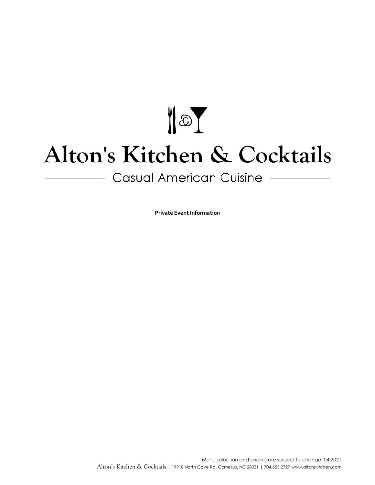# $\sqrt{2}$ Alton's Kitchen & Cocktails

Casual American Cuisine -

**Private Event Information**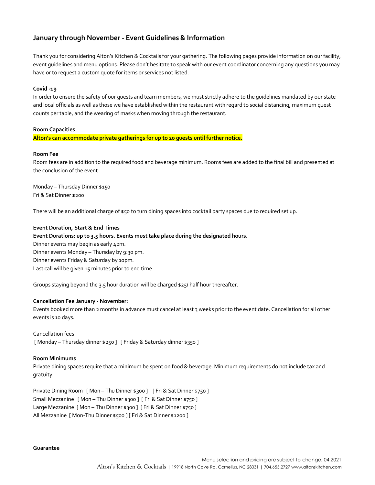# **January through November - Event Guidelines & Information**

Thank you for considering Alton's Kitchen & Cocktails for your gathering. The following pages provide information on our facility, event guidelines and menu options. Please don't hesitate to speak with our event coordinator concerning any questions you may have or to request a custom quote for items or services not listed.

#### **Covid -19**

In order to ensure the safety of our guests and team members, we must strictly adhere to the guidelines mandated by our state and local officials as well as those we have established within the restaurant with regard to social distancing, maximum guest counts per table, and the wearing of masks when moving through the restaurant.

#### **Room Capacities**

**Alton's can accommodate private gatherings for up to 20 guests until further notice.**

#### **Room Fee**

Room fees are in addition to the required food and beverage minimum. Rooms fees are added to the final bill and presented at the conclusion of the event.

Monday – Thursday Dinner \$150 Fri & Sat Dinner \$200

There will be an additional charge of \$50 to turn dining spaces into cocktail party spaces due to required set up.

#### **Event Duration, Start & End Times**

#### **Event Durations: up to 3.5 hours. Events must take place during the designated hours.**

Dinner events may begin as early 4pm. Dinner events Monday – Thursday by 9:30 pm. Dinner events Friday & Saturday by 10pm. Last call will be given 15 minutes prior to end time

Groups staying beyond the 3.5 hour duration will be charged \$25/ half hour thereafter.

#### **Cancellation Fee January - November:**

Events booked more than 2 months in advance must cancel at least 3 weeks prior to the event date. Cancellation for all other events is 10 days.

# Cancellation fees:

[ Monday – Thursday dinner \$250 ] [ Friday & Saturday dinner \$350 ]

#### **Room Minimums**

Private dining spaces require that a minimum be spent on food & beverage. Minimum requirements do not include tax and gratuity.

Private Dining Room [Mon - Thu Dinner \$300] [Fri & Sat Dinner \$750] Small Mezzanine [ Mon – Thu Dinner \$300 ] [ Fri & Sat Dinner \$750 ] Large Mezzanine [ Mon - Thu Dinner \$300 ] [ Fri & Sat Dinner \$750 ] All Mezzanine [ Mon-Thu Dinner \$500 ] [ Fri & Sat Dinner \$1200 ]

#### **Guarantee**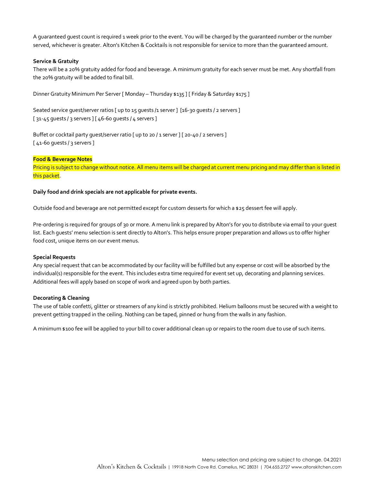A guaranteed guest count is required 1 week prior to the event. You will be charged by the guaranteed number or the number served, whichever is greater. Alton's Kitchen & Cocktails is not responsible for service to more than the guaranteed amount.

#### **Service & Gratuity**

There will be a 20% gratuity added for food and beverage. A minimum gratuity for each server must be met. Any shortfall from the 20% gratuity will be added to final bill.

Dinner Gratuity Minimum Per Server [ Monday – Thursday \$135 ] [ Friday & Saturday \$175 ]

Seated service quest/server ratios [ up to 15 quests /1 server ] [16-30 quests / 2 servers ] [ 31-45 quests / 3 servers ] [ 46-60 quests / 4 servers ]

Buffet or cocktail party guest/server ratio [ up to 20 / 1 server ] [ 20-40 / 2 servers ] [41-60 quests / 3 servers ]

#### **Food & Beverage Notes**

Pricing is subject to change without notice. All menu items will be charged at current menu pricing and may differ than is listed in this packet.

#### **Daily food and drink specials are not applicable for private events.**

Outside food and beverage are not permitted except for custom desserts for which a \$25 dessert fee will apply.

Pre-ordering is required for groups of 30 or more. A menu link is prepared by Alton's for you to distribute via email to your guest list. Each guests' menu selection is sent directly to Alton's. This helps ensure proper preparation and allows us to offer higher food cost, unique items on our event menus.

#### **Special Requests**

Any special request that can be accommodated by our facility will be fulfilled but any expense or cost will be absorbed by the individual(s) responsible for the event. This includes extra time required for event set up, decorating and planning services. Additional fees will apply based on scope of work and agreed upon by both parties.

#### **Decorating & Cleaning**

The use of table confetti, glitter or streamers of any kind is strictly prohibited. Helium balloons must be secured with a weight to prevent getting trapped in the ceiling. Nothing can be taped, pinned or hung from the walls in any fashion.

A minimum \$100 fee will be applied to your bill to cover additional clean up or repairs to the room due to use of such items.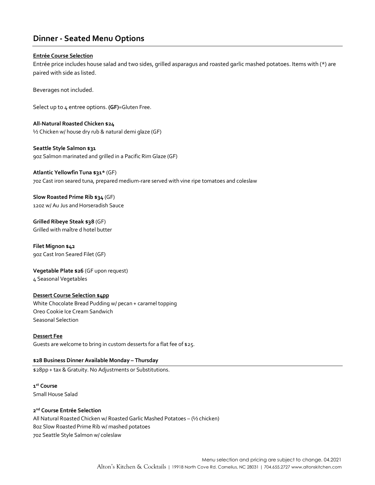# **Dinner - Seated Menu Options**

### **Entrée Course Selection**

Entrée price includes house salad and two sides, grilled asparagus and roasted garlic mashed potatoes. Items with (\*) are paired with side as listed.

Beverages not included.

Select up to 4 entree options. **(GF)**=Gluten Free.

**All-Natural Roasted Chicken \$24** ½ Chicken w/ house dry rub & natural demi glaze (GF)

# **Seattle Style Salmon \$31**

9oz Salmon marinated and grilled in a Pacific Rim Glaze (GF)

## **Atlantic Yellowfin Tuna \$31\*** (GF)

7oz Cast iron seared tuna, prepared medium-rare served with vine ripe tomatoes and coleslaw

**Slow Roasted Prime Rib \$34** (GF) 12oz w/ Au Jus and Horseradish Sauce

**Grilled Ribeye Steak \$38** (GF) Grilled with maître d hotel butter

**Filet Mignon \$42** 9oz Cast Iron Seared Filet (GF)

**Vegetable Plate \$26** (GF upon request) 4 Seasonal Vegetables

## **Dessert Course Selection \$4pp**

White Chocolate Bread Pudding w/ pecan + caramel topping Oreo Cookie Ice Cream Sandwich Seasonal Selection

**Dessert Fee** Guests are welcome to bring in custom desserts for a flat fee of \$25.

# **\$28 Business Dinner Available Monday – Thursday**

\$28pp + tax & Gratuity. No Adjustments or Substitutions.

**1st Course** Small House Salad

## **2nd Course Entrée Selection**

All Natural Roasted Chicken w/ Roasted Garlic Mashed Potatoes – (½ chicken) 8oz Slow Roasted Prime Rib w/ mashed potatoes 7oz Seattle Style Salmon w/ coleslaw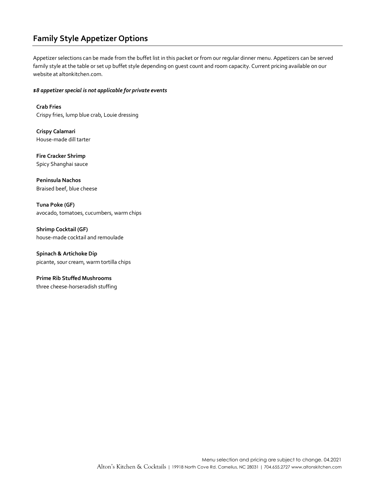# **Family Style Appetizer Options**

Appetizer selections can be made from the buffet list in this packet or from our regular dinner menu. Appetizers can be served family style at the table or set up buffet style depending on guest count and room capacity. Current pricing available on our website at altonkitchen.com.

#### *\$8 appetizer special is not applicable for private events*

**Crab Fries** Crispy fries, lump blue crab, Louie dressing

**Crispy Calamari** House-made dill tarter

**Fire Cracker Shrimp** Spicy Shanghai sauce

**Peninsula Nachos** Braised beef, blue cheese

**Tuna Poke (GF)** avocado, tomatoes, cucumbers, warm chips

**Shrimp Cocktail (GF)** house-made cocktail and remoulade

**Spinach & Artichoke Dip**  picante, sour cream, warm tortilla chips

**Prime Rib Stuffed Mushrooms** three cheese-horseradish stuffing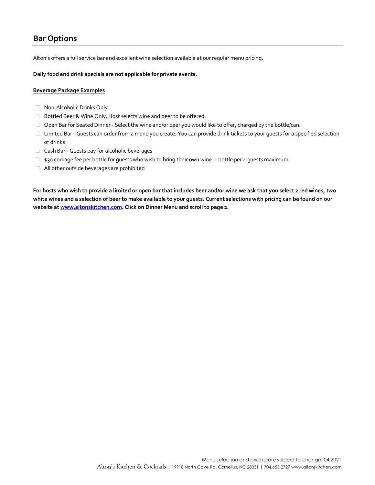# **Bar Options**

Alton's offers a full service bar and excellent wine selection available at our regular menu pricing.

**Daily food and drink specials are not applicable for private events.**

#### **Beverage Package Examples**

- □ Non-Alcoholic Drinks Only
- □ Bottled Beer & Wine Only. Host selects wine and beer to be offered.
- $\Box$  Open Bar for Seated Dinner Select the wine and/or beer you would like to offer, charged by the bottle/can.
- □ Limited Bar Guests can order from a menu you create. You can provide drink tickets to your quests for a specified selection of drinks
- □ Cash Bar Guests pay for alcoholic beverages
- $\Box$  \$30 corkage fee per bottle for guests who wish to bring their own wine. 1 bottle per 4 guests maximum
- All other outside beverages are prohibited

**For hosts who wish to provide a limited or open bar that includes beer and/or wine we ask that you select 2 red wines, two white wines and a selection of beer to make available to your guests. Current selections with pricing can be found on our website a[t www.altonskitchen.com.](http://www.altonskitchen.com/) Click on Dinner Menu and scroll to page 2.**